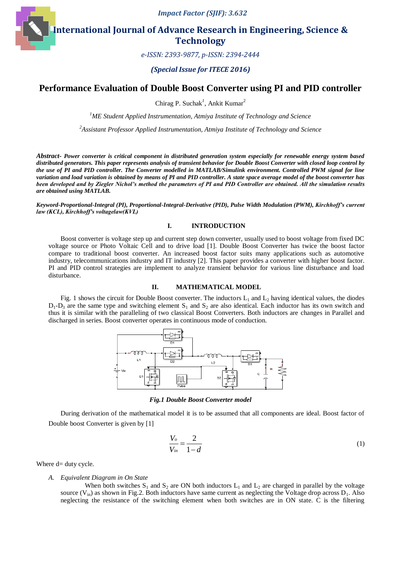*Impact Factor (SJIF): 3.632*

**International Journal of Advance Research in Engineering, Science & Technology** 

*e-ISSN: 2393-9877, p-ISSN: 2394-2444*

*(Special Issue for ITECE 2016)*

# **Performance Evaluation of Double Boost Converter using PI and PID controller**

Chirag P. Suchak<sup>1</sup>, Ankit Kumar<sup>2</sup>

*<sup>1</sup>ME Student Applied Instrumentation, Atmiya Institute of Technology and Science*

*2 Assistant Professor Applied Instrumentation, Atmiya Institute of Technology and Science*

*Abstract- Power converter is critical component in distributed generation system especially for renewable energy system based distributed generators. This paper represents analysis of transient behavior for Double Boost Converter with closed loop control by the use of PI and PID controller. The Converter modelled in MATLAB/Simulink environment. Controlled PWM signal for line variation and load variation is obtained by means of PI and PID controller. A state space average model of the boost converter has been developed and by Ziegler Nichol's method the parameters of PI and PID Controller are obtained. All the simulation results are obtained using MATLAB.*

*Keyword-Proportional-Integral (PI), Proportional-Integral-Derivative (PID), Pulse Width Modulation (PWM), Kirchhoff's current law (KCL), Kirchhoff's voltagelaw(KVL)*

### **I. INTRODUCTION**

Boost converter is voltage step up and current step down converter, usually used to boost voltage from fixed DC voltage source or Photo Voltaic Cell and to drive load [1]. Double Boost Converter has twice the boost factor compare to traditional boost converter. An increased boost factor suits many applications such as automotive industry, telecommunications industry and IT industry [2]. This paper provides a converter with higher boost factor. PI and PID control strategies are implement to analyze transient behavior for various line disturbance and load disturbance.

#### **II. MATHEMATICAL MODEL**

Fig. 1 shows the circuit for Double Boost converter. The inductors  $L_1$  and  $L_2$  having identical values, the diodes  $D_1$ - $D_3$  are the same type and switching element  $S_1$  and  $S_2$  are also identical. Each inductor has its own switch and thus it is similar with the paralleling of two classical Boost Converters. Both inductors are changes in Parallel and discharged in series. Boost converter operates in continuous mode of conduction.



*Fig.1 Double Boost Converter model*

During derivation of the mathematical model it is to be assumed that all components are ideal. Boost factor of Double boost Converter is given by [1]

$$
\frac{V_o}{V_{in}} = \frac{2}{1-d} \tag{1}
$$

Where d= duty cycle.

#### *A. Equivalent Diagram in On State*

When both switches  $S_1$  and  $S_2$  are ON both inductors  $L_1$  and  $L_2$  are charged in parallel by the voltage source  $(V_{in})$  as shown in Fig.2. Both inductors have same current as neglecting the Voltage drop across  $D_1$ . Also neglecting the resistance of the switching element when both switches are in ON state. C is the filtering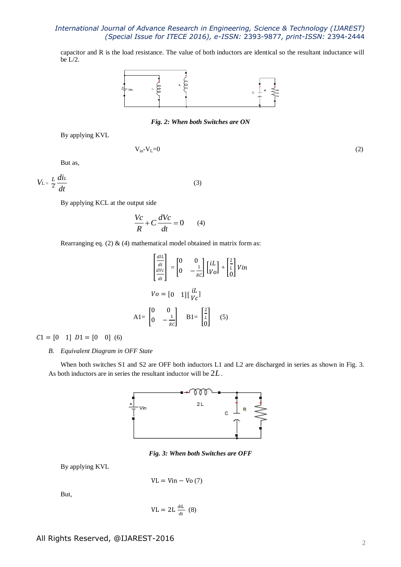capacitor and R is the load resistance. The value of both inductors are identical so the resultant inductance will be L/2.



### *Fig. 2: When both Switches are ON*

(3)

By applying KVL

$$
V_{in} - V_L = 0 \tag{2}
$$

But as,

 $L = \frac{1}{2}$  $V_{L} = \frac{L}{2} \frac{diL}{dt}$ *dt*

By applying KCL at the output side

$$
\frac{Vc}{R} + C\frac{dVc}{dt} = 0 \qquad (4)
$$

Rearranging eq. (2)  $\&$  (4) mathematical model obtained in matrix form as:

$$
\begin{bmatrix} \frac{dI}{dt} \\ \frac{dV}{dt} \\ \frac{dV}{dt} \end{bmatrix} = \begin{bmatrix} 0 & 0 \\ 0 & -\frac{1}{RC} \end{bmatrix} \begin{bmatrix} iL \\ V_O \end{bmatrix} + \begin{bmatrix} \frac{2}{L} \\ 0 \end{bmatrix} Vin
$$
  

$$
Vo = \begin{bmatrix} 0 & 1 \end{bmatrix} \begin{bmatrix} iL \\ V_C \end{bmatrix}
$$
  

$$
AI = \begin{bmatrix} 0 & 0 \\ 0 & -\frac{1}{RC} \end{bmatrix} \quad B1 = \begin{bmatrix} \frac{2}{L} \\ 0 \end{bmatrix} \quad (5)
$$

 $C1 = [0 \t1] D1 = [0 \t0] (6)$ 

### *B. Equivalent Diagram in OFF State*

When both switches S1 and S2 are OFF both inductors L1 and L2 are discharged in series as shown in Fig. 3. As both inductors are in series the resultant inductor will be 2*L* .



*Fig. 3: When both Switches are OFF*

By applying KVL

 $VL = Vin - Vo(7)$ 

But,

$$
VL = 2L \frac{diL}{dt} (8)
$$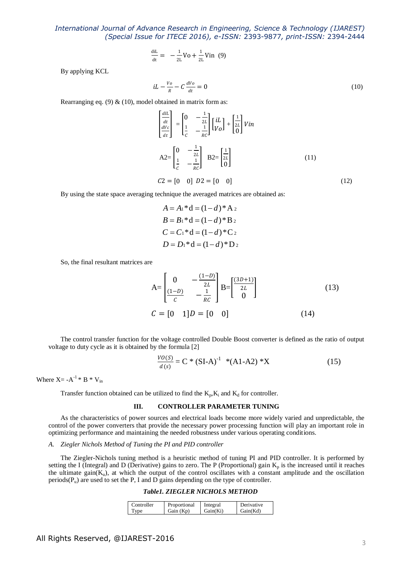$$
\frac{d i L}{d t} = -\frac{1}{2L} V_0 + \frac{1}{2L} V_{11} (9)
$$

By applying KCL

$$
iL - \frac{V_o}{R} - C \frac{dV_o}{dt} = 0 \tag{10}
$$

Rearranging eq. (9)  $\&$  (10), model obtained in matrix form as:

$$
\begin{aligned}\n\left|\frac{dI}{dt}\right|_{\frac{dV}{dt}} &= \begin{bmatrix} 0 & -\frac{1}{2L} \\ \frac{1}{2L} & -\frac{1}{RC} \end{bmatrix} \begin{bmatrix} iL \\ V_O \end{bmatrix} + \begin{bmatrix} \frac{1}{2L} \\ 0 \end{bmatrix} Vin \\
A2 &= \begin{bmatrix} 0 & -\frac{1}{2L} \\ \frac{1}{C} & -\frac{1}{RC} \end{bmatrix} \quad B2 = \begin{bmatrix} \frac{1}{2L} \\ 0 \end{bmatrix} \tag{11} \\
C2 &= \begin{bmatrix} 0 & 0 \end{bmatrix} \quad D2 = \begin{bmatrix} 0 & 0 \end{bmatrix} \tag{12}\n\end{aligned}
$$

By using the state space averaging technique the averaged matrices are obtained as:

$$
A = A_1 * d = (1 - d) * A_2
$$
  
\n
$$
B = B_1 * d = (1 - d) * B_2
$$
  
\n
$$
C = C_1 * d = (1 - d) * C_2
$$
  
\n
$$
D = D_1 * d = (1 - d) * D_2
$$

So, the final resultant matrices are

$$
A = \begin{bmatrix} 0 & -\frac{(1-D)}{2L} \\ \frac{(1-D)}{C} & -\frac{1}{RC} \end{bmatrix} B = \begin{bmatrix} \frac{(3D+1)}{2L} \\ 0 \end{bmatrix}
$$
(13)  

$$
C = [0 \quad 1]D = [0 \quad 0]
$$
(14)

The control transfer function for the voltage controlled Double Boost converter is defined as the ratio of output voltage to duty cycle as it is obtained by the formula [2]

$$
\frac{VO(S)}{d(s)} = C * (SI-A)^{-1} * (A1-A2) * X
$$
 (15)

Where  $X = -A^{-1} * B * V_{in}$ 

Transfer function obtained can be utilized to find the  $K_p, K_i$  and  $K_d$  for controller.

#### **III. CONTROLLER PARAMETER TUNING**

As the characteristics of power sources and electrical loads become more widely varied and unpredictable, the control of the power converters that provide the necessary power processing function will play an important role in optimizing performance and maintaining the needed robustness under various operating conditions.

#### *A. Ziegler Nichols Method of Tuning the PI and PID controller*

The Ziegler-Nichols tuning method is a heuristic method of tuning PI and PID controller. It is performed by setting the I (Integral) and D (Derivative) gains to zero. The P (Proportional) gain  $K_p$  is the increased until it reaches the ultimate gain( $K_u$ ), at which the output of the control oscillates with a constant amplitude and the oscillation periods( $P_u$ ) are used to set the P, I and D gains depending on the type of controller.

## *Table1. ZIEGLER NICHOLS METHOD*

| Controller  | Proportional | Integral | Derivative |
|-------------|--------------|----------|------------|
| <b>v</b> ne | Gain (Kp)    | Gain(Ki) | Gain(Kd)   |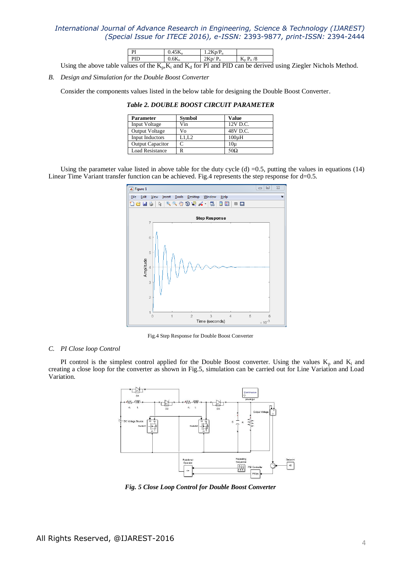| DI |                          | m                  |  |
|----|--------------------------|--------------------|--|
|    | $\overline{\phantom{a}}$ | $\mathbf{r}$<br>-- |  |

Using the above table values of the  $K_p, K_i$  and  $K_d$  for PI and PID can be derived using Ziegler Nichols Method.

*B. Design and Simulation for the Double Boost Converter*

Consider the components values listed in the below table for designing the Double Boost Converter.

| <b>Table 2. DOUBLE BOOST CIRCUIT PARAMETER</b> |  |
|------------------------------------------------|--|
|------------------------------------------------|--|

| <b>Parameter</b>        | <b>Symbol</b> | <b>Value</b> |
|-------------------------|---------------|--------------|
| Input Voltage           | Vin           | 12V D.C.     |
| Output Voltage          | V٥            | 48V D.C.     |
| Input Inductors         | L1.L2         | $100\mu H$   |
| <b>Output Capacitor</b> |               | 10u          |
| <b>Load Resistance</b>  |               | $50\Omega$   |

Using the parameter value listed in above table for the duty cycle  $(d) = 0.5$ , putting the values in equations (14) Linear Time Variant transfer function can be achieved. Fig.4 represents the step response for d=0.5.



Fig.4 Step Response for Double Boost Converter

### *C. PI Close loop Control*

PI control is the simplest control applied for the Double Boost converter. Using the values  $K_p$  and  $K_i$  and creating a close loop for the converter as shown in Fig.5, simulation can be carried out for Line Variation and Load Variation.



*Fig. 5 Close Loop Control for Double Boost Converter*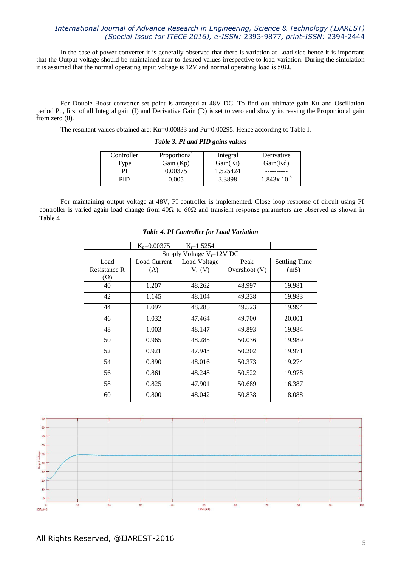In the case of power converter it is generally observed that there is variation at Load side hence it is important that the Output voltage should be maintained near to desired values irrespective to load variation. During the simulation it is assumed that the normal operating input voltage is 12V and normal operating load is 50Ω.

For Double Boost converter set point is arranged at 48V DC. To find out ultimate gain Ku and Oscillation period Pu, first of all Integral gain (I) and Derivative Gain (D) is set to zero and slowly increasing the Proportional gain from zero (0).

The resultant values obtained are: Ku=0.00833 and Pu=0.00295. Hence according to Table I.

| Controller          | Proportional | Integral | Derivative      |
|---------------------|--------------|----------|-----------------|
| $T$ <sub>V</sub> pe | Gain $(Kp)$  | Gain(Ki) | Gain(Kd)        |
| ÞІ                  | 0.00375      | 1.525424 |                 |
|                     | 0.005        | 3.3898   | $1.843x10^{-6}$ |

### *Table 3. PI and PID gains values*

For maintaining output voltage at 48V, PI controller is implemented. Close loop response of circuit using PI controller is varied again load change from  $40\Omega$  to  $60\Omega$  and transient response parameters are observed as shown in Table 4

|                     | $K_p = 0.00375$               | $K_i = 1.5254$ |               |                      |  |
|---------------------|-------------------------------|----------------|---------------|----------------------|--|
|                     | Supply Voltage $V_i = 12V$ DC |                |               |                      |  |
| Load                | Load Current                  | Load Voltage   | Peak          | <b>Settling Time</b> |  |
| <b>Resistance R</b> | (A)                           | $V_0(V)$       | Overshoot (V) | (mS)                 |  |
| $(\Omega)$          |                               |                |               |                      |  |
| 40                  | 1.207                         | 48.262         | 48.997        | 19.981               |  |
| 42                  | 1.145                         | 48.104         | 49.338        | 19.983               |  |
| 44                  | 1.097                         | 48.285         | 49.523        | 19.994               |  |
| 46                  | 1.032                         | 47.464         | 49.700        | 20.001               |  |
| 48                  | 1.003                         | 48.147         | 49.893        | 19.984               |  |
| 50                  | 0.965                         | 48.285         | 50.036        | 19.989               |  |
| 52                  | 0.921                         | 47.943         | 50.202        | 19.971               |  |
| 54                  | 0.890                         | 48.016         | 50.373        | 19.274               |  |
| 56                  | 0.861                         | 48.248         | 50.522        | 19.978               |  |
| 58                  | 0.825                         | 47.901         | 50.689        | 16.387               |  |
| 60                  | 0.800                         | 48.042         | 50.838        | 18.088               |  |

*Table 4. PI Controller for Load Variation*

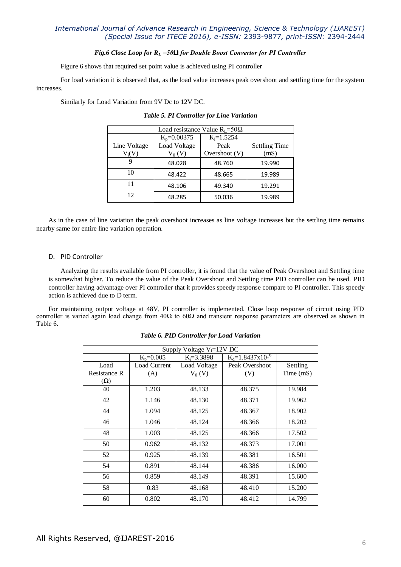### *Fig.6 Close Loop for R<sup>L</sup> =50Ω for Double Boost Convertor for PI Controller*

Figure 6 shows that required set point value is achieved using PI controller

For load variation it is observed that, as the load value increases peak overshoot and settling time for the system increases.

Similarly for Load Variation from 9V Dc to 12V DC.

| Load resistance Value $R_{I} = 50\Omega$ |                                   |                 |                      |  |
|------------------------------------------|-----------------------------------|-----------------|----------------------|--|
|                                          | $K_p = 0.00375$<br>$K_i = 1.5254$ |                 |                      |  |
| Line Voltage                             | Load Voltage                      | Peak            | <b>Settling Time</b> |  |
| $V_i(V)$                                 | $V_0(V)$                          | Overshoot $(V)$ | (mS)                 |  |
|                                          | 48.028                            | 48.760          | 19.990               |  |
| 10                                       | 48.422                            | 48.665          | 19.989               |  |
| 11                                       | 48.106                            | 49.340          | 19.291               |  |
| 12                                       | 48.285                            | 50.036          | 19.989               |  |

*Table 5. PI Controller for Line Variation*

As in the case of line variation the peak overshoot increases as line voltage increases but the settling time remains nearby same for entire line variation operation.

### D. PID Controller

Analyzing the results available from PI controller, it is found that the value of Peak Overshoot and Settling time is somewhat higher. To reduce the value of the Peak Overshoot and Settling time PID controller can be used. PID controller having advantage over PI controller that it provides speedy response compare to PI controller. This speedy action is achieved due to D term.

For maintaining output voltage at 48V, PI controller is implemented. Close loop response of circuit using PID controller is varied again load change from 40Ω to 60Ω and transient response parameters are observed as shown in Table 6.

| Supply Voltage $V_i = 12V$ DC |                     |                |                               |           |
|-------------------------------|---------------------|----------------|-------------------------------|-----------|
|                               | $K_p = 0.005$       | $K_i = 3.3898$ | $K_d = 1.8437 \times 10^{-6}$ |           |
| Load                          | <b>Load Current</b> | Load Voltage   | Peak Overshoot                | Settling  |
| <b>Resistance R</b>           | (A)                 | $V_0(V)$       | (V)                           | Time (mS) |
| $(\Omega)$                    |                     |                |                               |           |
| 40                            | 1.203               | 48.133         | 48.375                        | 19.984    |
| 42                            | 1.146               | 48.130         | 48.371                        | 19.962    |
| 44                            | 1.094               | 48.125         | 48.367                        | 18.902    |
| 46                            | 1.046               | 48.124         | 48.366                        | 18.202    |
| 48                            | 1.003               | 48.125         | 48.366                        | 17.502    |
| 50                            | 0.962               | 48.132         | 48.373                        | 17.001    |
| 52                            | 0.925               | 48.139         | 48.381                        | 16.501    |
| 54                            | 0.891               | 48.144         | 48.386                        | 16.000    |
| 56                            | 0.859               | 48.149         | 48.391                        | 15.600    |
| 58                            | 0.83                | 48.168         | 48.410                        | 15.200    |
| 60                            | 0.802               | 48.170         | 48.412                        | 14.799    |

*Table 6. PID Controller for Load Variation*